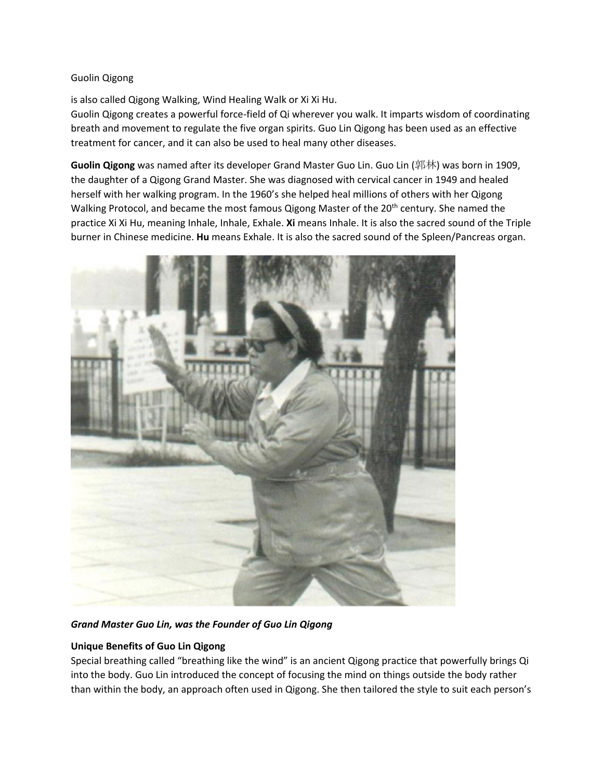### Guolin Qigong

is also called Qigong Walking, Wind Healing Walk or Xi Xi Hu.

Guolin Qigong creates a powerful force-field of Qi wherever you walk. It imparts wisdom of coordinating breath and movement to regulate the five organ spirits. Guo Lin Qigong has been used as an effective treatment for cancer, and it can also be used to heal many other diseases.

**Guolin Qigong** was named after its developer Grand Master Guo Lin. Guo Lin (郭林) was born in 1909, the daughter of a Qigong Grand Master. She was diagnosed with cervical cancer in 1949 and healed herself with her walking program. In the 1960's she helped heal millions of others with her Qigong Walking Protocol, and became the most famous Qigong Master of the 20<sup>th</sup> century. She named the practice Xi Xi Hu, meaning Inhale, Inhale, Exhale. **Xi** means Inhale. It is also the sacred sound of the Triple burner in Chinese medicine. **Hu** means Exhale. It is also the sacred sound of the Spleen/Pancreas organ.



*Grand Master Guo Lin, was the Founder of Guo Lin Qigong*

# **Unique Benefits of Guo Lin Qigong**

Special breathing called "breathing like the wind" is an ancient Qigong practice that powerfully brings Qi into the body. Guo Lin introduced the concept of focusing the mind on things outside the body rather than within the body, an approach often used in Qigong. She then tailored the style to suit each person's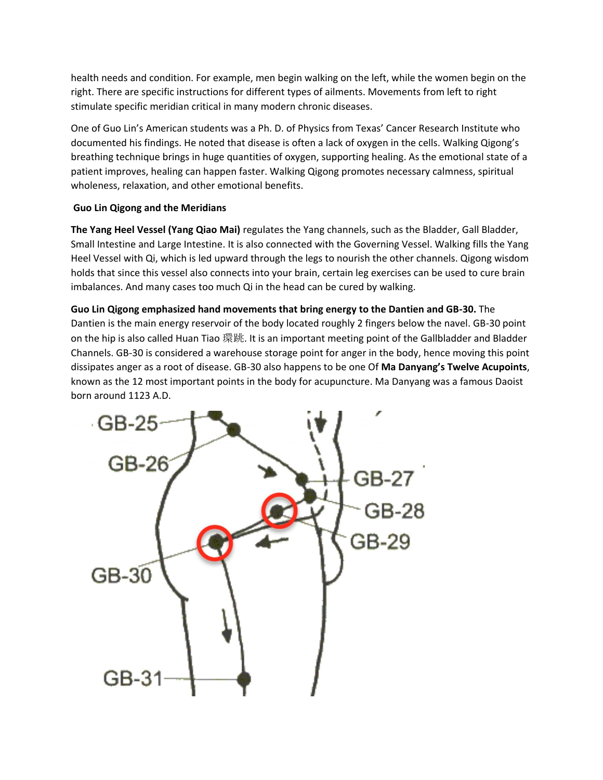health needs and condition. For example, men begin walking on the left, while the women begin on the right. There are specific instructions for different types of ailments. Movements from left to right stimulate specific meridian critical in many modern chronic diseases.

One of Guo Lin's American students was a Ph. D. of Physics from Texas' Cancer Research Institute who documented his findings. He noted that disease is often a lack of oxygen in the cells. Walking Qigong's breathing technique brings in huge quantities of oxygen, supporting healing. As the emotional state of a patient improves, healing can happen faster. Walking Qigong promotes necessary calmness, spiritual wholeness, relaxation, and other emotional benefits.

## **Guo Lin Qigong and the Meridians**

**The Yang Heel Vessel (Yang Qiao Mai)** regulates the Yang channels, such as the Bladder, Gall Bladder, Small Intestine and Large Intestine. It is also connected with the Governing Vessel. Walking fills the Yang Heel Vessel with Qi, which is led upward through the legs to nourish the other channels. Qigong wisdom holds that since this vessel also connects into your brain, certain leg exercises can be used to cure brain imbalances. And many cases too much Qi in the head can be cured by walking.

**Guo Lin Qigong emphasized hand movements that bring energy to the Dantien and GB-30.** The Dantien is the main energy reservoir of the body located roughly 2 fingers below the navel. GB-30 point on the hip is also called Huan Tiao 環跳. It is an important meeting point of the Gallbladder and Bladder Channels. GB-30 is considered a warehouse storage point for anger in the body, hence moving this point dissipates anger as a root of disease. GB-30 also happens to be one Of **Ma Danyang's Twelve Acupoints**, known as the 12 most important points in the body for acupuncture. Ma Danyang was a famous Daoist born around 1123 A.D.

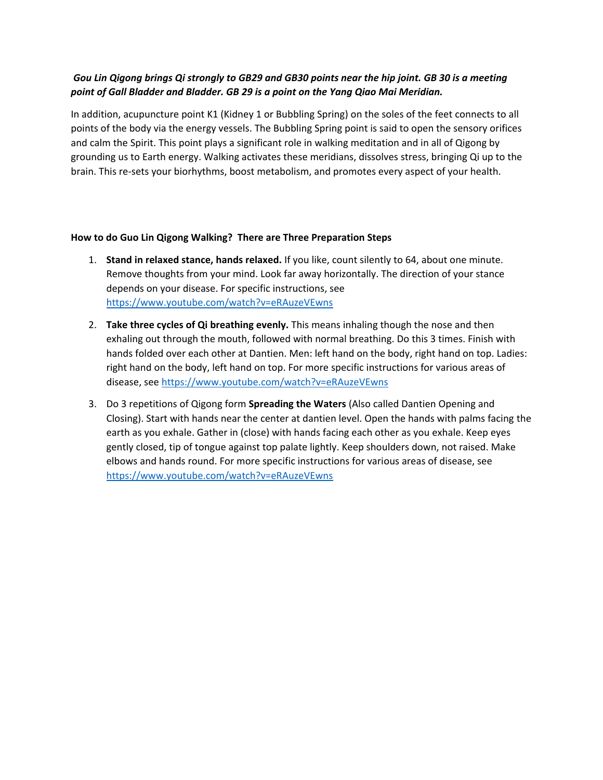# *Gou Lin Qigong brings Qi strongly to GB29 and GB30 points near the hip joint. GB 30 is a meeting point of Gall Bladder and Bladder. GB 29 is a point on the Yang Qiao Mai Meridian.*

In addition, acupuncture point K1 (Kidney 1 or Bubbling Spring) on the soles of the feet connects to all points of the body via the energy vessels. The Bubbling Spring point is said to open the sensory orifices and calm the Spirit. This point plays a significant role in walking meditation and in all of Qigong by grounding us to Earth energy. Walking activates these meridians, dissolves stress, bringing Qi up to the brain. This re-sets your biorhythms, boost metabolism, and promotes every aspect of your health.

### **How to do Guo Lin Qigong Walking? There are Three Preparation Steps**

- 1. **Stand in relaxed stance, hands relaxed.** If you like, count silently to 64, about one minute. Remove thoughts from your mind. Look far away horizontally. The direction of your stance depends on your disease. For specific instructions, see <https://www.youtube.com/watch?v=eRAuzeVEwns>
- 2. **Take three cycles of Qi breathing evenly.** This means inhaling though the nose and then exhaling out through the mouth, followed with normal breathing. Do this 3 times. Finish with hands folded over each other at Dantien. Men: left hand on the body, right hand on top. Ladies: right hand on the body, left hand on top. For more specific instructions for various areas of disease, see<https://www.youtube.com/watch?v=eRAuzeVEwns>
- 3. Do 3 repetitions of Qigong form **Spreading the Waters** (Also called Dantien Opening and Closing). Start with hands near the center at dantien level. Open the hands with palms facing the earth as you exhale. Gather in (close) with hands facing each other as you exhale. Keep eyes gently closed, tip of tongue against top palate lightly. Keep shoulders down, not raised. Make elbows and hands round. For more specific instructions for various areas of disease, see <https://www.youtube.com/watch?v=eRAuzeVEwns>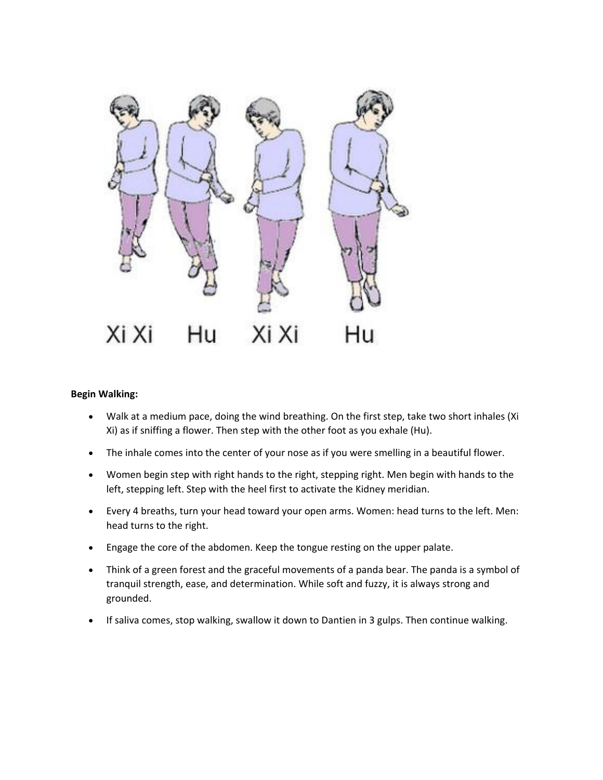

#### **Begin Walking:**

- Walk at a medium pace, doing the wind breathing. On the first step, take two short inhales (Xi Xi) as if sniffing a flower. Then step with the other foot as you exhale (Hu).
- The inhale comes into the center of your nose as if you were smelling in a beautiful flower.
- Women begin step with right hands to the right, stepping right. Men begin with hands to the left, stepping left. Step with the heel first to activate the Kidney meridian.
- Every 4 breaths, turn your head toward your open arms. Women: head turns to the left. Men: head turns to the right.
- Engage the core of the abdomen. Keep the tongue resting on the upper palate.
- Think of a green forest and the graceful movements of a panda bear. The panda is a symbol of tranquil strength, ease, and determination. While soft and fuzzy, it is always strong and grounded.
- If saliva comes, stop walking, swallow it down to Dantien in 3 gulps. Then continue walking.